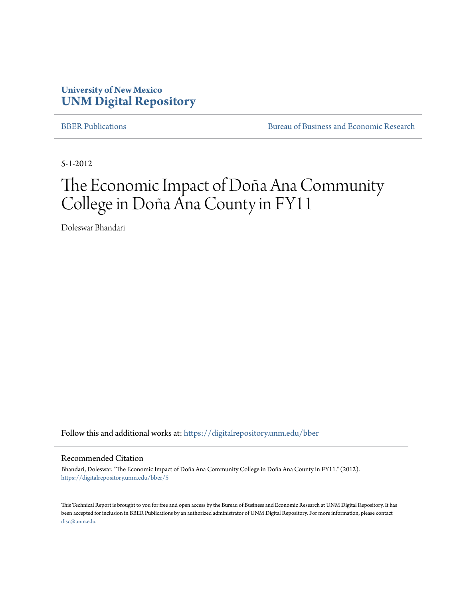#### **University of New Mexico [UNM Digital Repository](https://digitalrepository.unm.edu?utm_source=digitalrepository.unm.edu%2Fbber%2F5&utm_medium=PDF&utm_campaign=PDFCoverPages)**

[BBER Publications](https://digitalrepository.unm.edu/bber?utm_source=digitalrepository.unm.edu%2Fbber%2F5&utm_medium=PDF&utm_campaign=PDFCoverPages) **BUREAU SERVICES** [Bureau of Business and Economic Research](https://digitalrepository.unm.edu/business_economic_research?utm_source=digitalrepository.unm.edu%2Fbber%2F5&utm_medium=PDF&utm_campaign=PDFCoverPages)

5-1-2012

## The Economic Impact of Doña Ana Community College in Doña Ana County in FY11

Doleswar Bhandari

Follow this and additional works at: [https://digitalrepository.unm.edu/bber](https://digitalrepository.unm.edu/bber?utm_source=digitalrepository.unm.edu%2Fbber%2F5&utm_medium=PDF&utm_campaign=PDFCoverPages)

#### Recommended Citation

Bhandari, Doleswar. "The Economic Impact of Doña Ana Community College in Doña Ana County in FY11." (2012). [https://digitalrepository.unm.edu/bber/5](https://digitalrepository.unm.edu/bber/5?utm_source=digitalrepository.unm.edu%2Fbber%2F5&utm_medium=PDF&utm_campaign=PDFCoverPages)

This Technical Report is brought to you for free and open access by the Bureau of Business and Economic Research at UNM Digital Repository. It has been accepted for inclusion in BBER Publications by an authorized administrator of UNM Digital Repository. For more information, please contact [disc@unm.edu](mailto:disc@unm.edu).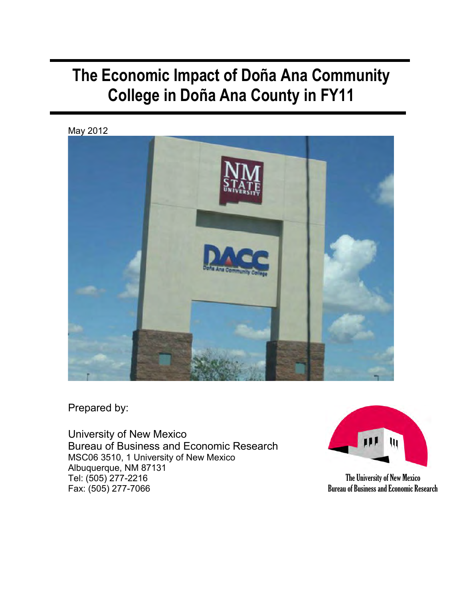## **The Economic Impact of Doña Ana Community College in Doña Ana County in FY11**



Prepared by:

University of New Mexico Bureau of Business and Economic Research MSC06 3510, 1 University of New Mexico Albuquerque, NM 87131 Tel: (505) 277-2216 Fax: (505) 277-7066



The University of New Mexico Bureau of Business and Economic Research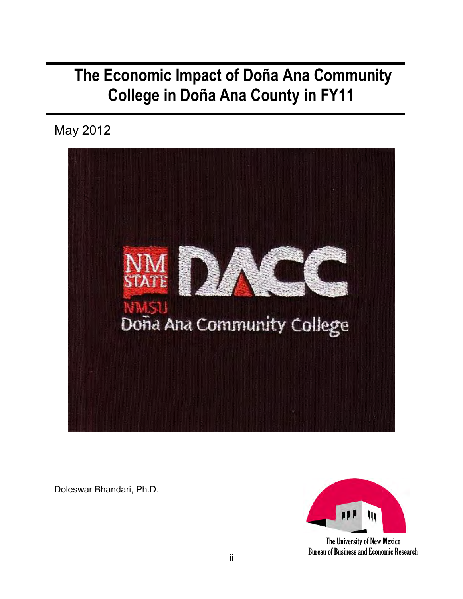## **The Economic Impact of Doña Ana Community College in Doña Ana County in FY11**

May 2012



Doleswar Bhandari, Ph.D.



The University of New Mexico Bureau of Business and Economic Research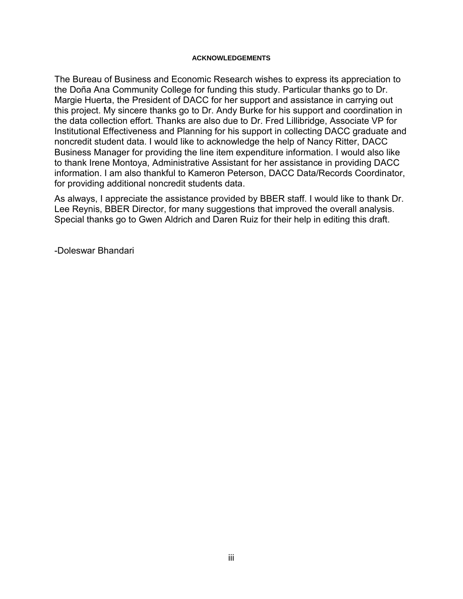#### **ACKNOWLEDGEMENTS**

The Bureau of Business and Economic Research wishes to express its appreciation to the Doña Ana Community College for funding this study. Particular thanks go to Dr. Margie Huerta, the President of DACC for her support and assistance in carrying out this project. My sincere thanks go to Dr. Andy Burke for his support and coordination in the data collection effort. Thanks are also due to Dr. Fred Lillibridge, Associate VP for Institutional Effectiveness and Planning for his support in collecting DACC graduate and noncredit student data. I would like to acknowledge the help of Nancy Ritter, DACC Business Manager for providing the line item expenditure information. I would also like to thank Irene Montoya, Administrative Assistant for her assistance in providing DACC information. I am also thankful to Kameron Peterson, DACC Data/Records Coordinator, for providing additional noncredit students data.

As always, I appreciate the assistance provided by BBER staff. I would like to thank Dr. Lee Reynis, BBER Director, for many suggestions that improved the overall analysis. Special thanks go to Gwen Aldrich and Daren Ruiz for their help in editing this draft.

-Doleswar Bhandari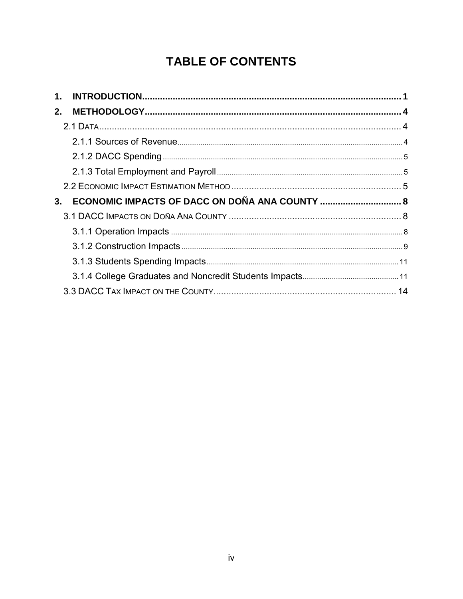## **TABLE OF CONTENTS**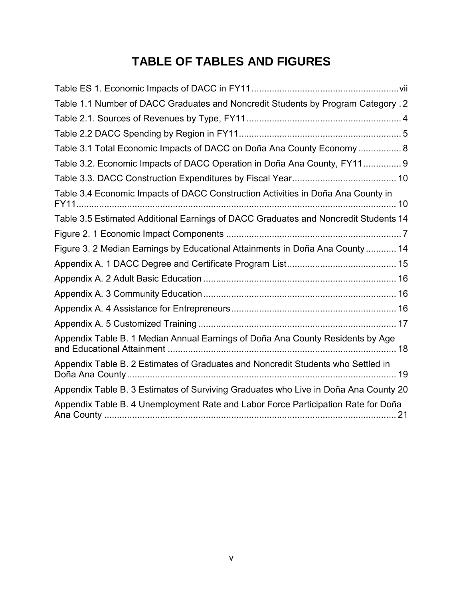### **TABLE OF TABLES AND FIGURES**

| Table 1.1 Number of DACC Graduates and Noncredit Students by Program Category . 2   |
|-------------------------------------------------------------------------------------|
|                                                                                     |
|                                                                                     |
| Table 3.1 Total Economic Impacts of DACC on Doña Ana County Economy  8              |
| Table 3.2. Economic Impacts of DACC Operation in Doña Ana County, FY11 9            |
|                                                                                     |
| Table 3.4 Economic Impacts of DACC Construction Activities in Doña Ana County in    |
| Table 3.5 Estimated Additional Earnings of DACC Graduates and Noncredit Students 14 |
|                                                                                     |
| Figure 3. 2 Median Earnings by Educational Attainments in Doña Ana County  14       |
|                                                                                     |
|                                                                                     |
|                                                                                     |
|                                                                                     |
|                                                                                     |
| Appendix Table B. 1 Median Annual Earnings of Doña Ana County Residents by Age      |
| Appendix Table B. 2 Estimates of Graduates and Noncredit Students who Settled in    |
| Appendix Table B. 3 Estimates of Surviving Graduates who Live in Doña Ana County 20 |
| Appendix Table B. 4 Unemployment Rate and Labor Force Participation Rate for Doña   |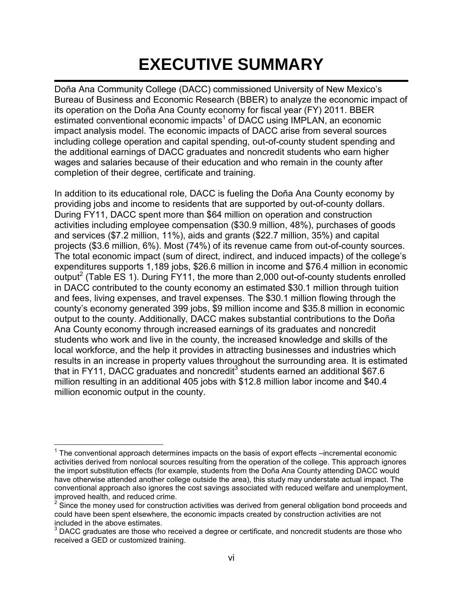## **EXECUTIVE SUMMARY**

Doña Ana Community College (DACC) commissioned University of New Mexico's Bureau of Business and Economic Research (BBER) to analyze the economic impact of its operation on the Doña Ana County economy for fiscal year (FY) 2011. BBER estimated conventional economic impacts<sup>1</sup> of DACC using IMPLAN, an economic impact analysis model. The economic impacts of DACC arise from several sources including college operation and capital spending, out-of-county student spending and the additional earnings of DACC graduates and noncredit students who earn higher wages and salaries because of their education and who remain in the county after completion of their degree, certificate and training.

In addition to its educational role, DACC is fueling the Doña Ana County economy by providing jobs and income to residents that are supported by out-of-county dollars. During FY11, DACC spent more than \$64 million on operation and construction activities including employee compensation (\$30.9 million, 48%), purchases of goods and services (\$7.2 million, 11%), aids and grants (\$22.7 million, 35%) and capital projects (\$3.6 million, 6%). Most (74%) of its revenue came from out-of-county sources. The total economic impact (sum of direct, indirect, and induced impacts) of the college's expenditures supports 1,189 jobs, \$26.6 million in income and \$76.4 million in economic output<sup>2</sup> [\(Table ES 1\)](#page-7-0). During FY11, the more than 2,000 out-of-county students enrolled in DACC contributed to the county economy an estimated \$30.1 million through tuition and fees, living expenses, and travel expenses. The \$30.1 million flowing through the county's economy generated 399 jobs, \$9 million income and \$35.8 million in economic output to the county. Additionally, DACC makes substantial contributions to the Doña Ana County economy through increased earnings of its graduates and noncredit students who work and live in the county, the increased knowledge and skills of the local workforce, and the help it provides in attracting businesses and industries which results in an increase in property values throughout the surrounding area. It is estimated that in FY11, DACC graduates and noncredit<sup>3</sup> students earned an additional \$67.6 million resulting in an additional 405 jobs with \$12.8 million labor income and \$40.4 million economic output in the county.

 $\overline{\phantom{a}}$  $1$  The conventional approach determines impacts on the basis of export effects  $-$ incremental economic activities derived from nonlocal sources resulting from the operation of the college. This approach ignores the import substitution effects (for example, students from the Doña Ana County attending DACC would have otherwise attended another college outside the area), this study may understate actual impact. The conventional approach also ignores the cost savings associated with reduced welfare and unemployment, improved health, and reduced crime.

 $2$  Since the money used for construction activities was derived from general obligation bond proceeds and could have been spent elsewhere, the economic impacts created by construction activities are not

included in the above estimates.<br><sup>3</sup> DACC graduates are those who received a degree or certificate, and noncredit students are those who received a GED or customized training.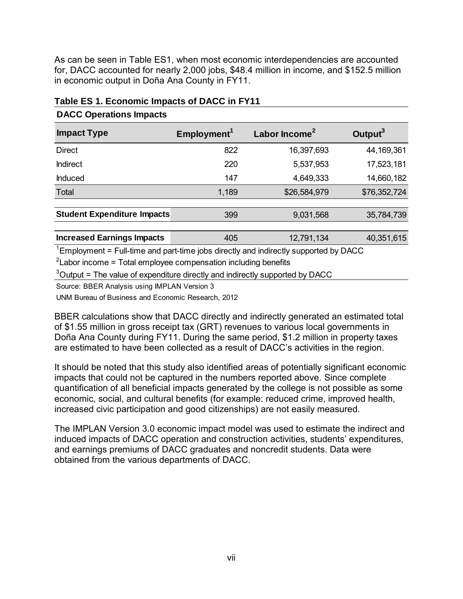As can be seen in Table ES1, when most economic interdependencies are accounted for, DACC accounted for nearly 2,000 jobs, \$48.4 million in income, and \$152.5 million in economic output in Doña Ana County in FY11.

| <b>DACC Operations Impacts</b>                                                      |                         |                           |                     |
|-------------------------------------------------------------------------------------|-------------------------|---------------------------|---------------------|
| <b>Impact Type</b>                                                                  | Employment <sup>1</sup> | Labor Income <sup>2</sup> | Output <sup>3</sup> |
| <b>Direct</b>                                                                       | 822                     | 16,397,693                | 44, 169, 361        |
| <b>Indirect</b>                                                                     | 220                     | 5,537,953                 | 17,523,181          |
| Induced                                                                             | 147                     | 4,649,333                 | 14,660,182          |
| <b>Total</b>                                                                        | 1,189                   | \$26,584,979              | \$76,352,724        |
| <b>Student Expenditure Impacts</b>                                                  | 399                     | 9,031,568                 | 35,784,739          |
| <b>Increased Earnings Impacts</b>                                                   | 405                     | 12,791,134                | 40,351,615          |
| Employment = Full-time and part-time jobs directly and indirectly supported by DACC |                         |                           |                     |

<span id="page-7-0"></span>

| Table ES 1. Economic Impacts of DACC in FY11 |  |
|----------------------------------------------|--|
|----------------------------------------------|--|

**DACC Operations Impacts**

 $2$ Labor income = Total employee compensation including benefits

 $3$ Output = The value of expenditure directly and indirectly supported by DACC

Source: BBER Analysis using IMPLAN Version 3

UNM Bureau of Business and Economic Research, 2012

BBER calculations show that DACC directly and indirectly generated an estimated total of \$1.55 million in gross receipt tax (GRT) revenues to various local governments in Doña Ana County during FY11. During the same period, \$1.2 million in property taxes are estimated to have been collected as a result of DACC's activities in the region.

It should be noted that this study also identified areas of potentially significant economic impacts that could not be captured in the numbers reported above. Since complete quantification of all beneficial impacts generated by the college is not possible as some economic, social, and cultural benefits (for example: reduced crime, improved health, increased civic participation and good citizenships) are not easily measured.

The IMPLAN Version 3.0 economic impact model was used to estimate the indirect and induced impacts of DACC operation and construction activities, students' expenditures, and earnings premiums of DACC graduates and noncredit students. Data were obtained from the various departments of DACC.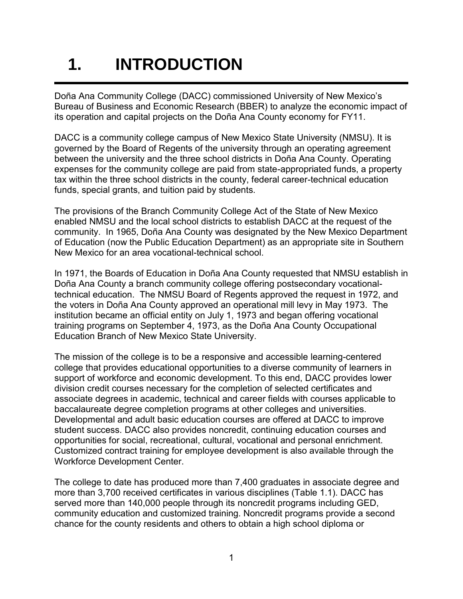## <span id="page-8-0"></span>**1. INTRODUCTION**

Doña Ana Community College (DACC) commissioned University of New Mexico's Bureau of Business and Economic Research (BBER) to analyze the economic impact of its operation and capital projects on the Doña Ana County economy for FY11.

DACC is a community college campus of New Mexico State University (NMSU). It is governed by the Board of Regents of the university through an operating agreement between the university and the three school districts in Doña Ana County. Operating expenses for the community college are paid from state-appropriated funds, a property tax within the three school districts in the county, federal career-technical education funds, special grants, and tuition paid by students.

The provisions of the Branch Community College Act of the State of New Mexico enabled NMSU and the local school districts to establish DACC at the request of the community. In 1965, Doña Ana County was designated by the New Mexico Department of Education (now the Public Education Department) as an appropriate site in Southern New Mexico for an area vocational-technical school.

In 1971, the Boards of Education in Doña Ana County requested that NMSU establish in Doña Ana County a branch community college offering postsecondary vocationaltechnical education. The NMSU Board of Regents approved the request in 1972, and the voters in Doña Ana County approved an operational mill levy in May 1973. The institution became an official entity on July 1, 1973 and began offering vocational training programs on September 4, 1973, as the Doña Ana County Occupational Education Branch of New Mexico State University.

The mission of the college is to be a responsive and accessible learning-centered college that provides educational opportunities to a diverse community of learners in support of workforce and economic development. To this end, DACC provides lower division credit courses necessary for the completion of selected certificates and associate degrees in academic, technical and career fields with courses applicable to baccalaureate degree completion programs at other colleges and universities. Developmental and adult basic education courses are offered at DACC to improve student success. DACC also provides noncredit, continuing education courses and opportunities for social, recreational, cultural, vocational and personal enrichment. Customized contract training for employee development is also available through the Workforce Development Center.

The college to date has produced more than 7,400 graduates in associate degree and more than 3,700 received certificates in various disciplines [\(Table 1.1\)](#page-9-0). DACC has served more than 140,000 people through its noncredit programs including GED, community education and customized training. Noncredit programs provide a second chance for the county residents and others to obtain a high school diploma or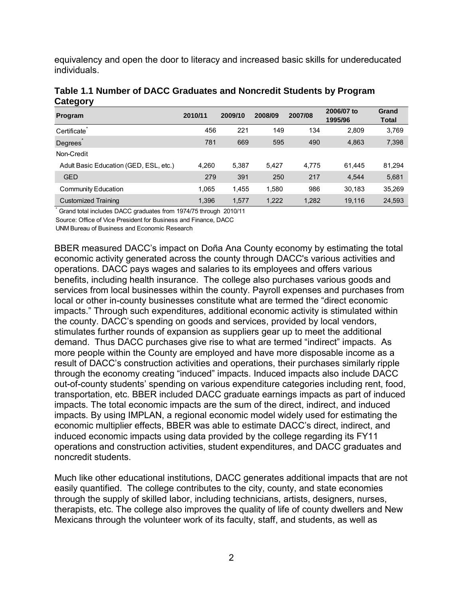equivalency and open the door to literacy and increased basic skills for undereducated individuals.

| illuiviuudis.                                                                           |         |         |         |         |                       |                       |  |
|-----------------------------------------------------------------------------------------|---------|---------|---------|---------|-----------------------|-----------------------|--|
| Table 1.1 Number of DACC Graduates and Noncredit Students by Program<br><b>Category</b> |         |         |         |         |                       |                       |  |
| Program                                                                                 | 2010/11 | 2009/10 | 2008/09 | 2007/08 | 2006/07 to<br>1995/96 | Grand<br><b>Total</b> |  |
| Certificate                                                                             | 456     | 221     | 149     | 134     | 2,809                 | 3,769                 |  |
| <b>Degrees</b>                                                                          | 781     | 669     | 595     | 490     | 4,863                 | 7,398                 |  |
| Non-Credit                                                                              |         |         |         |         |                       |                       |  |
| Adult Basic Education (GED, ESL, etc.)                                                  | 4.260   | 5.387   | 5.427   | 4.775   | 61,445                | 81,294                |  |
| <b>GED</b>                                                                              | 279     | 391     | 250     | 217     | 4,544                 | 5,681                 |  |
| Community Education                                                                     | 1.065   | 1.455   | 1.580   | 986     | 30.183                | 35,269                |  |
| Customized Training                                                                     | 1,396   | 1,577   | 1,222   | 1,282   | 19,116                | 24,593                |  |

<span id="page-9-0"></span>**Table 1.1 Number of DACC Graduates and Noncredit Students by Program Category** 

\* Grand total includes DACC graduates from 1974/75 through 2010/11

Source: Office of Vice President for Business and Finance, DACC

UNM Bureau of Business and Economic Research

BBER measured DACC's impact on Doña Ana County economy by estimating the total economic activity generated across the county through DACC's various activities and operations. DACC pays wages and salaries to its employees and offers various benefits, including health insurance. The college also purchases various goods and services from local businesses within the county. Payroll expenses and purchases from local or other in-county businesses constitute what are termed the "direct economic impacts." Through such expenditures, additional economic activity is stimulated within the county. DACC's spending on goods and services, provided by local vendors, stimulates further rounds of expansion as suppliers gear up to meet the additional demand. Thus DACC purchases give rise to what are termed "indirect" impacts. As more people within the County are employed and have more disposable income as a result of DACC's construction activities and operations, their purchases similarly ripple through the economy creating "induced" impacts. Induced impacts also include DACC out-of-county students' spending on various expenditure categories including rent, food, transportation, etc. BBER included DACC graduate earnings impacts as part of induced impacts. The total economic impacts are the sum of the direct, indirect, and induced impacts. By using IMPLAN, a regional economic model widely used for estimating the economic multiplier effects, BBER was able to estimate DACC's direct, indirect, and induced economic impacts using data provided by the college regarding its FY11 operations and construction activities, student expenditures, and DACC graduates and noncredit students.

Much like other educational institutions, DACC generates additional impacts that are not easily quantified. The college contributes to the city, county, and state economies through the supply of skilled labor, including technicians, artists, designers, nurses, therapists, etc. The college also improves the quality of life of county dwellers and New Mexicans through the volunteer work of its faculty, staff, and students, as well as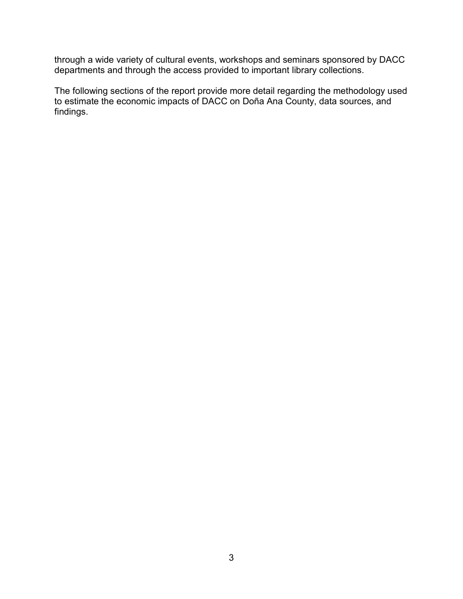through a wide variety of cultural events, workshops and seminars sponsored by DACC departments and through the access provided to important library collections.

The following sections of the report provide more detail regarding the methodology used to estimate the economic impacts of DACC on Doña Ana County, data sources, and findings.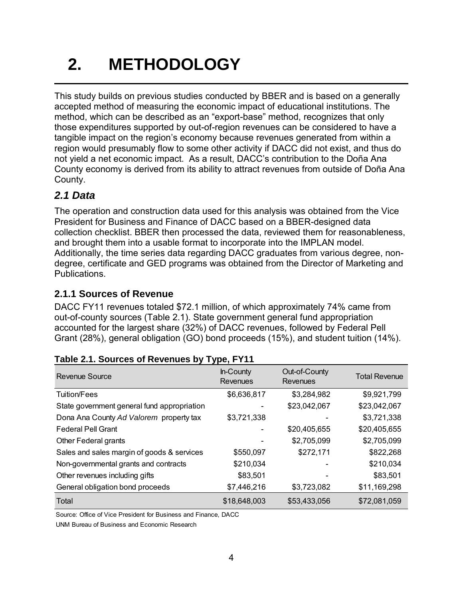# <span id="page-11-0"></span>**2. METHODOLOGY**

This study builds on previous studies conducted by BBER and is based on a generally accepted method of measuring the economic impact of educational institutions. The method, which can be described as an "export-base" method, recognizes that only those expenditures supported by out-of-region revenues can be considered to have a tangible impact on the region's economy because revenues generated from within a region would presumably flow to some other activity if DACC did not exist, and thus do not yield a net economic impact. As a result, DACC's contribution to the Doña Ana County economy is derived from its ability to attract revenues from outside of Doña Ana County.

#### <span id="page-11-1"></span>*2.1 Data*

The operation and construction data used for this analysis was obtained from the Vice President for Business and Finance of DACC based on a BBER-designed data collection checklist. BBER then processed the data, reviewed them for reasonableness, and brought them into a usable format to incorporate into the IMPLAN model. Additionally, the time series data regarding DACC graduates from various degree, nondegree, certificate and GED programs was obtained from the Director of Marketing and Publications.

#### <span id="page-11-2"></span>**2.1.1 Sources of Revenue**

DACC FY11 revenues totaled \$72.1 million, of which approximately 74% came from out-of-county sources [\(Table 2.1\)](#page-11-3). State government general fund appropriation accounted for the largest share (32%) of DACC revenues, followed by Federal Pell Grant (28%), general obligation (GO) bond proceeds (15%), and student tuition (14%).

| Table 2.1. Sources of Revenues by Type, FY11                    |                       |                           |                      |  |  |  |
|-----------------------------------------------------------------|-----------------------|---------------------------|----------------------|--|--|--|
| Revenue Source                                                  | In-County<br>Revenues | Out-of-County<br>Revenues | <b>Total Revenue</b> |  |  |  |
| Tuition/Fees                                                    | \$6,636,817           | \$3,284,982               | \$9,921,799          |  |  |  |
| State government general fund appropriation                     |                       | \$23,042,067              | \$23,042,067         |  |  |  |
| Dona Ana County Ad Valorem property tax                         | \$3,721,338           |                           | \$3,721,338          |  |  |  |
| <b>Federal Pell Grant</b>                                       |                       | \$20,405,655              | \$20,405,655         |  |  |  |
| Other Federal grants                                            |                       | \$2,705,099               | \$2,705,099          |  |  |  |
| Sales and sales margin of goods & services                      | \$550,097             | \$272,171                 | \$822,268            |  |  |  |
| Non-governmental grants and contracts                           | \$210,034             |                           | \$210,034            |  |  |  |
| Other revenues including gifts                                  | \$83,501              |                           | \$83,501             |  |  |  |
| General obligation bond proceeds                                | \$7,446,216           | \$3,723,082               | \$11,169,298         |  |  |  |
| Total                                                           | \$18,648,003          | \$53,433,056              | \$72,081,059         |  |  |  |
| Source: Office of Vice President for Business and Finance, DACC |                       |                           |                      |  |  |  |

#### <span id="page-11-3"></span>**Table 2.1. Sources of Revenues by Type, FY11**

UNM Bureau of Business and Economic Research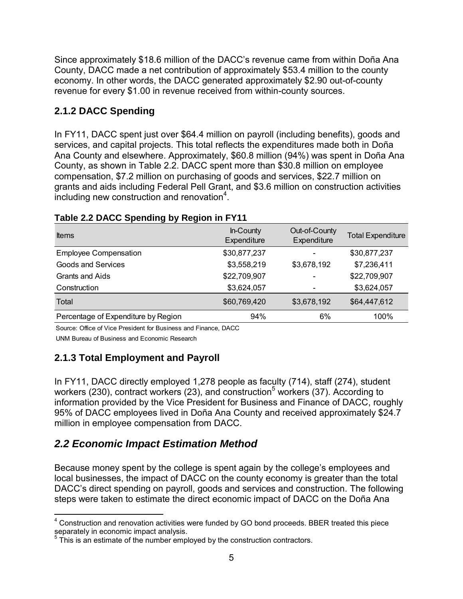Since approximately \$18.6 million of the DACC's revenue came from within Doña Ana County, DACC made a net contribution of approximately \$53.4 million to the county economy. In other words, the DACC generated approximately \$2.90 out-of-county revenue for every \$1.00 in revenue received from within-county sources.

#### <span id="page-12-0"></span>**2.1.2 DACC Spending**

In FY11, DACC spent just over \$64.4 million on payroll (including benefits), goods and services, and capital projects. This total reflects the expenditures made both in Doña Ana County and elsewhere. Approximately, \$60.8 million (94%) was spent in Doña Ana County, as shown in [Table 2.2.](#page-12-3) DACC spent more than \$30.8 million on employee compensation, \$7.2 million on purchasing of goods and services, \$22.7 million on grants and aids including Federal Pell Grant, and \$3.6 million on construction activities including new construction and renovation $4$ .

|                                     | <b>PODIC E.E DAVY OPCHAING BY INCHION IN FILL</b> |                              |                          |  |  |  |
|-------------------------------------|---------------------------------------------------|------------------------------|--------------------------|--|--|--|
| <b>Items</b>                        | In-County<br>Expenditure                          | Out-of-County<br>Expenditure | <b>Total Expenditure</b> |  |  |  |
| <b>Employee Compensation</b>        | \$30,877,237                                      |                              | \$30,877,237             |  |  |  |
| Goods and Services                  | \$3,558,219                                       | \$3,678,192                  | \$7,236,411              |  |  |  |
| Grants and Aids                     | \$22,709,907                                      |                              | \$22,709,907             |  |  |  |
| Construction                        | \$3,624,057                                       |                              | \$3,624,057              |  |  |  |
| Total                               | \$60,769,420                                      | \$3,678,192                  | \$64,447,612             |  |  |  |
| Percentage of Expenditure by Region | 94%                                               | 6%                           | 100%                     |  |  |  |

#### <span id="page-12-3"></span>**Table 2.2 DACC Spending by Region in FY11**

Source: Office of Vice President for Business and Finance, DACC

<span id="page-12-1"></span>UNM Bureau of Business and Economic Research

#### **2.1.3 Total Employment and Payroll**

In FY11, DACC directly employed 1,278 people as faculty (714), staff (274), student workers (230), contract workers (23), and construction<sup>5</sup> workers (37). According to information provided by the Vice President for Business and Finance of DACC, roughly 95% of DACC employees lived in Doña Ana County and received approximately \$24.7 million in employee compensation from DACC.

#### <span id="page-12-2"></span>*2.2 Economic Impact Estimation Method*

Because money spent by the college is spent again by the college's employees and local businesses, the impact of DACC on the county economy is greater than the total DACC's direct spending on payroll, goods and services and construction. The following steps were taken to estimate the direct economic impact of DACC on the Doña Ana

 $\overline{a}$ <sup>4</sup> Construction and renovation activities were funded by GO bond proceeds. BBER treated this piece separately in economic impact analysis.<br><sup>5</sup> This is an estimate of the number ampl

This is an estimate of the number employed by the construction contractors.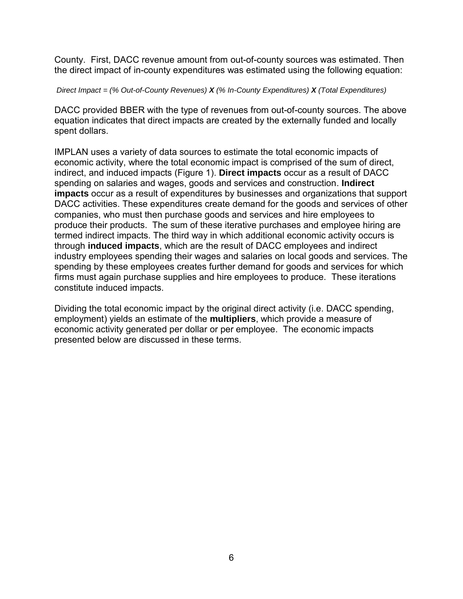County. First, DACC revenue amount from out-of-county sources was estimated. Then the direct impact of in-county expenditures was estimated using the following equation:

#### *Direct Impact = (% Out-of-County Revenues) X (% In-County Expenditures) X (Total Expenditures)*

DACC provided BBER with the type of revenues from out-of-county sources. The above equation indicates that direct impacts are created by the externally funded and locally spent dollars.

IMPLAN uses a variety of data sources to estimate the total economic impacts of economic activity, where the total economic impact is comprised of the sum of direct, indirect, and induced impacts (Figure 1). **Direct impacts** occur as a result of DACC spending on salaries and wages, goods and services and construction. **Indirect impacts** occur as a result of expenditures by businesses and organizations that support DACC activities. These expenditures create demand for the goods and services of other companies, who must then purchase goods and services and hire employees to produce their products. The sum of these iterative purchases and employee hiring are termed indirect impacts. The third way in which additional economic activity occurs is through **induced impacts**, which are the result of DACC employees and indirect industry employees spending their wages and salaries on local goods and services. The spending by these employees creates further demand for goods and services for which firms must again purchase supplies and hire employees to produce. These iterations constitute induced impacts.

Dividing the total economic impact by the original direct activity (i.e. DACC spending, employment) yields an estimate of the **multipliers**, which provide a measure of economic activity generated per dollar or per employee. The economic impacts presented below are discussed in these terms.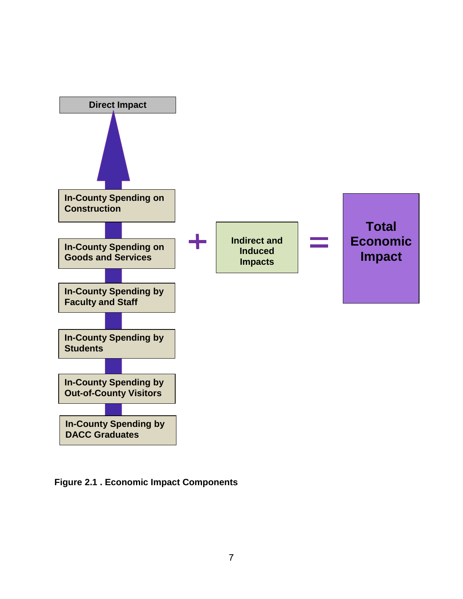

**Figure 2.1 . Economic Impact Components**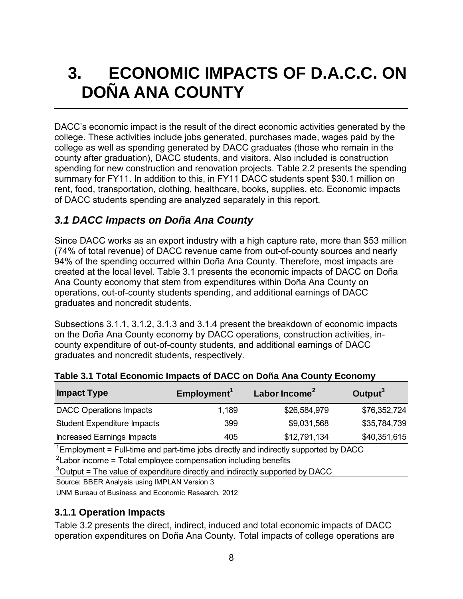## <span id="page-15-0"></span>**3. ECONOMIC IMPACTS OF D.A.C.C. ON DOÑA ANA COUNTY**

DACC's economic impact is the result of the direct economic activities generated by the college. These activities include jobs generated, purchases made, wages paid by the college as well as spending generated by DACC graduates (those who remain in the county after graduation), DACC students, and visitors. Also included is construction spending for new construction and renovation projects. [Table 2.2](#page-12-3) presents the spending summary for FY11. In addition to this, in FY11 DACC students spent \$30.1 million on rent, food, transportation, clothing, healthcare, books, supplies, etc. Economic impacts of DACC students spending are analyzed separately in this report.

#### <span id="page-15-1"></span>*3.1 DACC Impacts on Doña Ana County*

Since DACC works as an export industry with a high capture rate, more than \$53 million (74% of total revenue) of DACC revenue came from out-of-county sources and nearly 94% of the spending occurred within Doña Ana County. Therefore, most impacts are created at the local level. [Table 3.1](#page-15-3) presents the economic impacts of DACC on Doña Ana County economy that stem from expenditures within Doña Ana County on operations, out-of-county students spending, and additional earnings of DACC graduates and noncredit students.

Subsections 3.1.1, 3.1.2, 3.1.3 and 3.1.4 present the breakdown of economic impacts on the Doña Ana County economy by DACC operations, construction activities, incounty expenditure of out-of-county students, and additional earnings of DACC graduates and noncredit students, respectively.

<span id="page-15-3"></span>

| Table 3.1 Total Economic Impacts of DACC on Doña Ana County Economy                                           |  |  |  |  |  |  |
|---------------------------------------------------------------------------------------------------------------|--|--|--|--|--|--|
| Output <sup>3</sup><br>Labor Income <sup>2</sup><br><b>Impact Type</b><br>Employment <sup>1</sup>             |  |  |  |  |  |  |
| <b>DACC Operations Impacts</b><br>\$76,352,724<br>\$26,584,979<br>1,189                                       |  |  |  |  |  |  |
| <b>Student Expenditure Impacts</b><br>\$9,031,568<br>\$35,784,739<br>399                                      |  |  |  |  |  |  |
| <b>Increased Earnings Impacts</b><br>\$12,791,134<br>\$40,351,615<br>405                                      |  |  |  |  |  |  |
| $\mathrm{1}^{\mathrm{1}}$ Employment = Full-time and part-time jobs directly and indirectly supported by DACC |  |  |  |  |  |  |

 $2$ Labor income = Total employee compensation including benefits

 $3$ Output = The value of expenditure directly and indirectly supported by DACC

Source: BBER Analysis using IMPLAN Version 3

UNM Bureau of Business and Economic Research, 2012

#### <span id="page-15-2"></span>**3.1.1 Operation Impacts**

[Table 3.2](#page-16-1) presents the direct, indirect, induced and total economic impacts of DACC operation expenditures on Doña Ana County. Total impacts of college operations are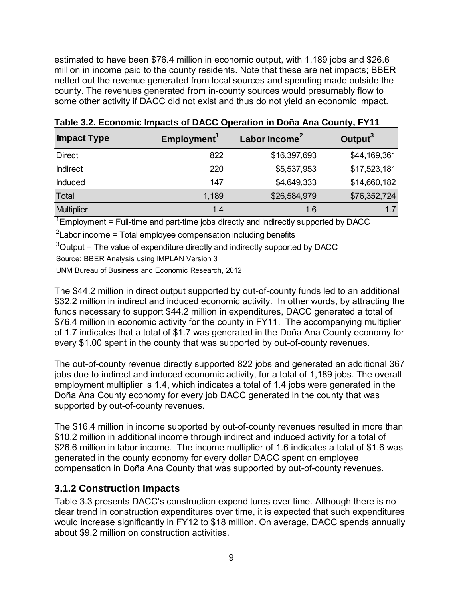estimated to have been \$76.4 million in economic output, with 1,189 jobs and \$26.6 million in income paid to the county residents. Note that these are net impacts; BBER netted out the revenue generated from local sources and spending made outside the county. The revenues generated from in-county sources would presumably flow to some other activity if DACC did not exist and thus do not yield an economic impact.

| <b>Impact Type</b> | Employment <sup>1</sup> | Labor Income <sup>2</sup> | Output <sup>3</sup> |
|--------------------|-------------------------|---------------------------|---------------------|
| <b>Direct</b>      | 822                     | \$16,397,693              | \$44,169,361        |
| <b>Indirect</b>    | 220                     | \$5,537,953               | \$17,523,181        |
| Induced            | 147                     | \$4,649,333               | \$14,660,182        |
| Total              | 1,189                   | \$26,584,979              | \$76,352,724        |
| <b>Multiplier</b>  | 1.4                     | 1.6                       | 1.7                 |

<span id="page-16-1"></span>**Table 3.2. Economic Impacts of DACC Operation in Doña Ana County, FY11**

 $1$ Employment = Full-time and part-time jobs directly and indirectly supported by DACC

 $2$ Labor income = Total employee compensation including benefits

 $3$ Output = The value of expenditure directly and indirectly supported by DACC

Source: BBER Analysis using IMPLAN Version 3

UNM Bureau of Business and Economic Research, 2012

The \$44.2 million in direct output supported by out-of-county funds led to an additional \$32.2 million in indirect and induced economic activity. In other words, by attracting the funds necessary to support \$44.2 million in expenditures, DACC generated a total of \$76.4 million in economic activity for the county in FY11. The accompanying multiplier of 1.7 indicates that a total of \$1.7 was generated in the Doña Ana County economy for every \$1.00 spent in the county that was supported by out-of-county revenues.

The out-of-county revenue directly supported 822 jobs and generated an additional 367 jobs due to indirect and induced economic activity, for a total of 1,189 jobs. The overall employment multiplier is 1.4, which indicates a total of 1.4 jobs were generated in the Doña Ana County economy for every job DACC generated in the county that was supported by out-of-county revenues.

The \$16.4 million in income supported by out-of-county revenues resulted in more than \$10.2 million in additional income through indirect and induced activity for a total of \$26.6 million in labor income. The income multiplier of 1.6 indicates a total of \$1.6 was generated in the county economy for every dollar DACC spent on employee compensation in Doña Ana County that was supported by out-of-county revenues.

#### <span id="page-16-0"></span>**3.1.2 Construction Impacts**

[Table 3.3](#page-17-0) presents DACC's construction expenditures over time. Although there is no clear trend in construction expenditures over time, it is expected that such expenditures would increase significantly in FY12 to \$18 million. On average, DACC spends annually about \$9.2 million on construction activities.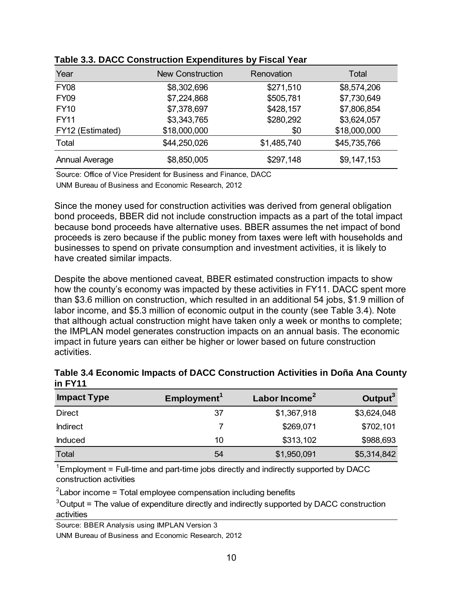| Year                  | <b>New Construction</b> | Renovation  | Total        |
|-----------------------|-------------------------|-------------|--------------|
| <b>FY08</b>           | \$8,302,696             | \$271,510   | \$8,574,206  |
| <b>FY09</b>           | \$7,224,868             | \$505,781   | \$7,730,649  |
| <b>FY10</b>           | \$7,378,697             | \$428,157   | \$7,806,854  |
| <b>FY11</b>           | \$3,343,765             | \$280,292   | \$3,624,057  |
| FY12 (Estimated)      | \$18,000,000            | \$0         | \$18,000,000 |
| Total                 | \$44,250,026            | \$1,485,740 | \$45,735,766 |
| <b>Annual Average</b> | \$8,850,005             | \$297,148   | \$9,147,153  |

<span id="page-17-0"></span>**Table 3.3. DACC Construction Expenditures by Fiscal Year** 

Source: Office of Vice President for Business and Finance, DACC

UNM Bureau of Business and Economic Research, 2012

Since the money used for construction activities was derived from general obligation bond proceeds, BBER did not include construction impacts as a part of the total impact because bond proceeds have alternative uses. BBER assumes the net impact of bond proceeds is zero because if the public money from taxes were left with households and businesses to spend on private consumption and investment activities, it is likely to have created similar impacts.

Despite the above mentioned caveat, BBER estimated construction impacts to show how the county's economy was impacted by these activities in FY11. DACC spent more than \$3.6 million on construction, which resulted in an additional 54 jobs, \$1.9 million of labor income, and \$5.3 million of economic output in the county (see [Table 3.4\)](#page-17-1). Note that although actual construction might have taken only a week or months to complete; the IMPLAN model generates construction impacts on an annual basis. The economic impact in future years can either be higher or lower based on future construction activities.

| <b>Impact Type</b>                                                                        | Employment <sup>1</sup> | Labor Income <sup>2</sup> | Output <sup>3</sup> |  |
|-------------------------------------------------------------------------------------------|-------------------------|---------------------------|---------------------|--|
| <b>Direct</b>                                                                             | 37                      | \$1,367,918               | \$3,624,048         |  |
| <b>Indirect</b>                                                                           |                         | \$269,071                 | \$702,101           |  |
| <b>Induced</b>                                                                            | 10                      | \$313,102                 | \$988,693           |  |
| <b>Total</b>                                                                              | 54                      | \$1,950,091               | \$5,314,842         |  |
| $\pm$ Employment = Full-time and part-time jobs directly and indirectly supported by DACC |                         |                           |                     |  |

<span id="page-17-1"></span>**Table 3.4 Economic Impacts of DACC Construction Activities in Doña Ana County in FY11**

 $1$ Employment = Full-time and part-time jobs directly and indirectly supported by DACC construction activities

 $2$ Labor income = Total employee compensation including benefits

 $3$ Output = The value of expenditure directly and indirectly supported by DACC construction activities

Source: BBER Analysis using IMPLAN Version 3

UNM Bureau of Business and Economic Research, 2012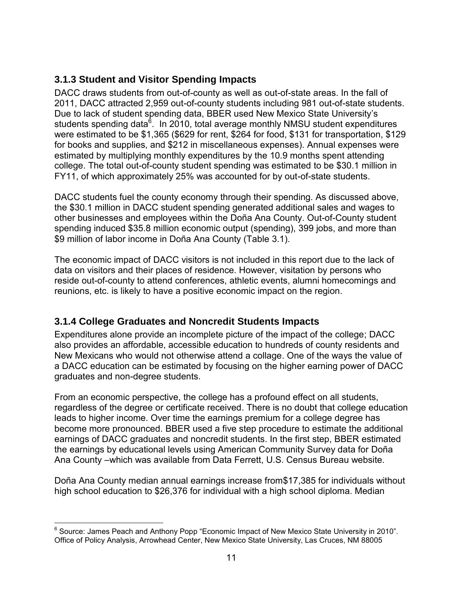#### <span id="page-18-0"></span>**3.1.3 Student and Visitor Spending Impacts**

DACC draws students from out-of-county as well as out-of-state areas. In the fall of 2011, DACC attracted 2,959 out-of-county students including 981 out-of-state students. Due to lack of student spending data, BBER used New Mexico State University's students spending data<sup>6</sup>. In 2010, total average monthly NMSU student expenditures were estimated to be \$1,365 (\$629 for rent, \$264 for food, \$131 for transportation, \$129 for books and supplies, and \$212 in miscellaneous expenses). Annual expenses were estimated by multiplying monthly expenditures by the 10.9 months spent attending college. The total out-of-county student spending was estimated to be \$30.1 million in FY11, of which approximately 25% was accounted for by out-of-state students.

DACC students fuel the county economy through their spending. As discussed above, the \$30.1 million in DACC student spending generated additional sales and wages to other businesses and employees within the Doña Ana County. Out-of-County student spending induced \$35.8 million economic output (spending), 399 jobs, and more than \$9 million of labor income in Doña Ana County [\(Table 3.1\)](#page-15-3).

The economic impact of DACC visitors is not included in this report due to the lack of data on visitors and their places of residence. However, visitation by persons who reside out-of-county to attend conferences, athletic events, alumni homecomings and reunions, etc. is likely to have a positive economic impact on the region.

#### <span id="page-18-1"></span>**3.1.4 College Graduates and Noncredit Students Impacts**

Expenditures alone provide an incomplete picture of the impact of the college; DACC also provides an affordable, accessible education to hundreds of county residents and New Mexicans who would not otherwise attend a collage. One of the ways the value of a DACC education can be estimated by focusing on the higher earning power of DACC graduates and non-degree students.

From an economic perspective, the college has a profound effect on all students, regardless of the degree or certificate received. There is no doubt that college education leads to higher income. Over time the earnings premium for a college degree has become more pronounced. BBER used a five step procedure to estimate the additional earnings of DACC graduates and noncredit students. In the first step, BBER estimated the earnings by educational levels using American Community Survey data for Doña Ana County –which was available from Data Ferrett, U.S. Census Bureau website.

Doña Ana County median annual earnings increase from\$17,385 for individuals without high school education to \$26,376 for individual with a high school diploma. Median

enties of Source: James Peach and Anthony Popp "Economic Impact of New Mexico State University in 2010". Office of Policy Analysis, Arrowhead Center, New Mexico State University, Las Cruces, NM 88005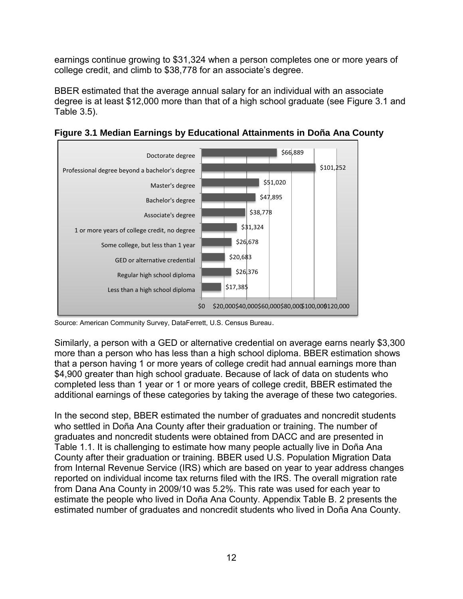earnings continue growing to \$31,324 when a person completes one or more years of college credit, and climb to \$38,778 for an associate's degree.

BBER estimated that the average annual salary for an individual with an associate degree is at least \$12,000 more than that of a high school graduate (see [Figure 3.1](#page-19-0) and Table 3.5).



<span id="page-19-0"></span>**Figure 3.1 Median Earnings by Educational Attainments in Doña Ana County** 

Source: American Community Survey, DataFerrett, U.S. Census Bureau.

Similarly, a person with a GED or alternative credential on average earns nearly \$3,300 more than a person who has less than a high school diploma. BBER estimation shows that a person having 1 or more years of college credit had annual earnings more than \$4,900 greater than high school graduate. Because of lack of data on students who completed less than 1 year or 1 or more years of college credit, BBER estimated the additional earnings of these categories by taking the average of these two categories.

In the second step, BBER estimated the number of graduates and noncredit students who settled in Doña Ana County after their graduation or training. The number of graduates and noncredit students were obtained from DACC and are presented in [Table 1.1.](#page-9-0) It is challenging to estimate how many people actually live in Doña Ana County after their graduation or training. BBER used U.S. Population Migration Data from Internal Revenue Service (IRS) which are based on year to year address changes reported on individual income tax returns filed with the IRS. The overall migration rate from Dana Ana County in 2009/10 was 5.2%. This rate was used for each year to estimate the people who lived in Doña Ana County. [Appendix Table B. 2](#page-26-0) presents the estimated number of graduates and noncredit students who lived in Doña Ana County.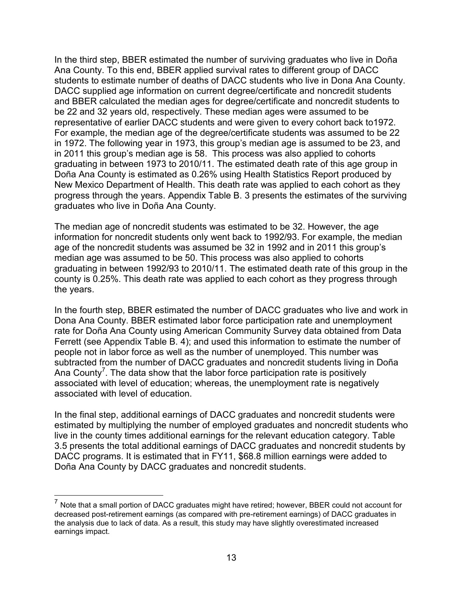In the third step, BBER estimated the number of surviving graduates who live in Doña Ana County. To this end, BBER applied survival rates to different group of DACC students to estimate number of deaths of DACC students who live in Dona Ana County. DACC supplied age information on current degree/certificate and noncredit students and BBER calculated the median ages for degree/certificate and noncredit students to be 22 and 32 years old, respectively. These median ages were assumed to be representative of earlier DACC students and were given to every cohort back to1972. For example, the median age of the degree/certificate students was assumed to be 22 in 1972. The following year in 1973, this group's median age is assumed to be 23, and in 2011 this group's median age is 58. This process was also applied to cohorts graduating in between 1973 to 2010/11. The estimated death rate of this age group in Doña Ana County is estimated as 0.26% using Health Statistics Report produced by New Mexico Department of Health. This death rate was applied to each cohort as they progress through the years. [Appendix Table B. 3](#page-27-0) presents the estimates of the surviving graduates who live in Doña Ana County.

The median age of noncredit students was estimated to be 32. However, the age information for noncredit students only went back to 1992/93. For example, the median age of the noncredit students was assumed be 32 in 1992 and in 2011 this group's median age was assumed to be 50. This process was also applied to cohorts graduating in between 1992/93 to 2010/11. The estimated death rate of this group in the county is 0.25%. This death rate was applied to each cohort as they progress through the years.

In the fourth step, BBER estimated the number of DACC graduates who live and work in Dona Ana County. BBER estimated labor force participation rate and unemployment rate for Doña Ana County using American Community Survey data obtained from Data Ferrett (see [Appendix Table B. 4\)](#page-28-0); and used this information to estimate the number of people not in labor force as well as the number of unemployed. This number was subtracted from the number of DACC graduates and noncredit students living in Doña Ana County<sup>7</sup>. The data show that the labor force participation rate is positively associated with level of education; whereas, the unemployment rate is negatively associated with level of education.

In the final step, additional earnings of DACC graduates and noncredit students were estimated by multiplying the number of employed graduates and noncredit students who live in the county times additional earnings for the relevant education category. [Table](#page-21-1)  [3.5](#page-21-1) presents the total additional earnings of DACC graduates and noncredit students by DACC programs. It is estimated that in FY11, \$68.8 million earnings were added to Doña Ana County by DACC graduates and noncredit students.

 7 Note that a small portion of DACC graduates might have retired; however, BBER could not account for decreased post-retirement earnings (as compared with pre-retirement earnings) of DACC graduates in the analysis due to lack of data. As a result, this study may have slightly overestimated increased earnings impact.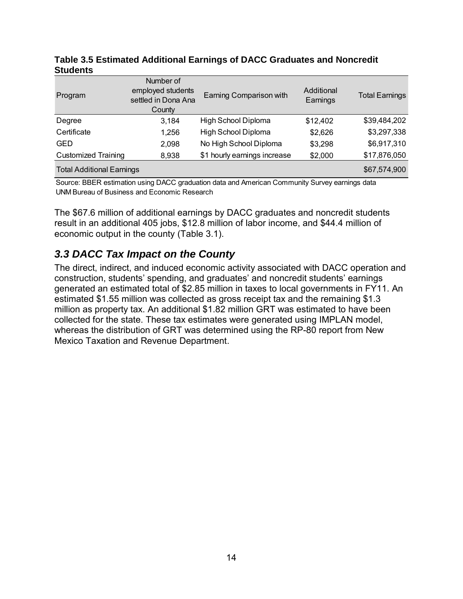| Program                          | Number of<br>employed students<br>settled in Dona Ana<br>County | Earning Comparison with      | Additional<br>Earnings | <b>Total Earnings</b> |
|----------------------------------|-----------------------------------------------------------------|------------------------------|------------------------|-----------------------|
| Degree                           | 3,184                                                           | High School Diploma          | \$12,402               | \$39,484,202          |
| Certificate                      | 1,256                                                           | High School Diploma          | \$2,626                | \$3,297,338           |
| GED                              | 2,098                                                           | No High School Diploma       | \$3,298                | \$6,917,310           |
| <b>Customized Training</b>       | 8,938                                                           | \$1 hourly earnings increase | \$2,000                | \$17,876,050          |
| <b>Total Additional Earnings</b> |                                                                 |                              |                        | \$67,574,900          |

#### <span id="page-21-1"></span>**Table 3.5 Estimated Additional Earnings of DACC Graduates and Noncredit Students**

Source: BBER estimation using DACC graduation data and American Community Survey earnings data UNM Bureau of Business and Economic Research

The \$67.6 million of additional earnings by DACC graduates and noncredit students result in an additional 405 jobs, \$12.8 million of labor income, and \$44.4 million of economic output in the county [\(Table 3.1\)](#page-15-3).

#### <span id="page-21-0"></span>*3.3 DACC Tax Impact on the County*

The direct, indirect, and induced economic activity associated with DACC operation and construction, students' spending, and graduates' and noncredit students' earnings generated an estimated total of \$2.85 million in taxes to local governments in FY11. An estimated \$1.55 million was collected as gross receipt tax and the remaining \$1.3 million as property tax. An additional \$1.82 million GRT was estimated to have been collected for the state. These tax estimates were generated using IMPLAN model, whereas the distribution of GRT was determined using the RP-80 report from New Mexico Taxation and Revenue Department.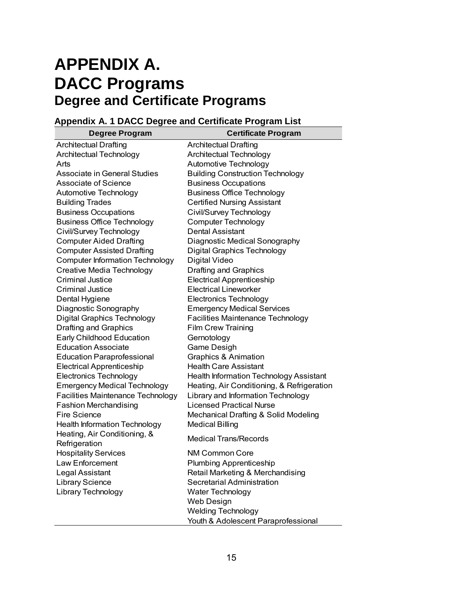## **APPENDIX A. DACC Programs Degree and Certificate Programs**

#### <span id="page-22-0"></span>**Appendix A. 1 DACC Degree and Certificate Program List**

| - - ສ                                    | <br>                                           |
|------------------------------------------|------------------------------------------------|
| <b>Degree Program</b>                    | <b>Certificate Program</b>                     |
| <b>Architectual Drafting</b>             | <b>Architectual Drafting</b>                   |
| Architectual Technology                  | Architectual Technology                        |
| Arts                                     | Automotive Technology                          |
| <b>Associate in General Studies</b>      | <b>Building Construction Technology</b>        |
| <b>Associate of Science</b>              | <b>Business Occupations</b>                    |
| Automotive Technology                    | <b>Business Office Technology</b>              |
| <b>Building Trades</b>                   | <b>Certified Nursing Assistant</b>             |
| <b>Business Occupations</b>              | Civil/Survey Technology                        |
| <b>Business Office Technology</b>        | Computer Technology                            |
| Civil/Survey Technology                  | <b>Dental Assistant</b>                        |
| <b>Computer Aided Drafting</b>           | Diagnostic Medical Sonography                  |
| <b>Computer Assisted Drafting</b>        | <b>Digital Graphics Technology</b>             |
| <b>Computer Information Technology</b>   | Digital Video                                  |
| Creative Media Technology                | Drafting and Graphics                          |
| <b>Criminal Justice</b>                  | <b>Electrical Apprenticeship</b>               |
| <b>Criminal Justice</b>                  | <b>Electrical Lineworker</b>                   |
| Dental Hygiene                           | <b>Electronics Technology</b>                  |
| Diagnostic Sonography                    | <b>Emergency Medical Services</b>              |
| <b>Digital Graphics Technology</b>       | <b>Facilities Maintenance Technology</b>       |
| Drafting and Graphics                    | <b>Film Crew Training</b>                      |
| Early Childhood Education                | Gernotology                                    |
| <b>Education Associate</b>               | Game Desigh                                    |
| <b>Education Paraprofessional</b>        | <b>Graphics &amp; Animation</b>                |
| <b>Electrical Apprenticeship</b>         | <b>Health Care Assistant</b>                   |
| <b>Electronics Technology</b>            | <b>Health Information Technology Assistant</b> |
| <b>Emergency Medical Technology</b>      | Heating, Air Conditioning, & Refrigeration     |
| <b>Facilities Maintenance Technology</b> | Library and Information Technology             |
| <b>Fashion Merchandising</b>             | <b>Licensed Practical Nurse</b>                |
| <b>Fire Science</b>                      | Mechanical Drafting & Solid Modeling           |
| <b>Health Information Technology</b>     | <b>Medical Billing</b>                         |
| Heating, Air Conditioning, &             |                                                |
| Refrigeration                            | <b>Medical Trans/Records</b>                   |
| <b>Hospitality Services</b>              | NM Common Core                                 |
| Law Enforcement                          | <b>Plumbing Apprenticeship</b>                 |
| Legal Assistant                          | Retail Marketing & Merchandising               |
| <b>Library Science</b>                   | Secretarial Administration                     |
| Library Technology                       | Water Technology                               |
|                                          | Web Design                                     |
|                                          | <b>Welding Technology</b>                      |
|                                          | Youth & Adolescent Paraprofessional            |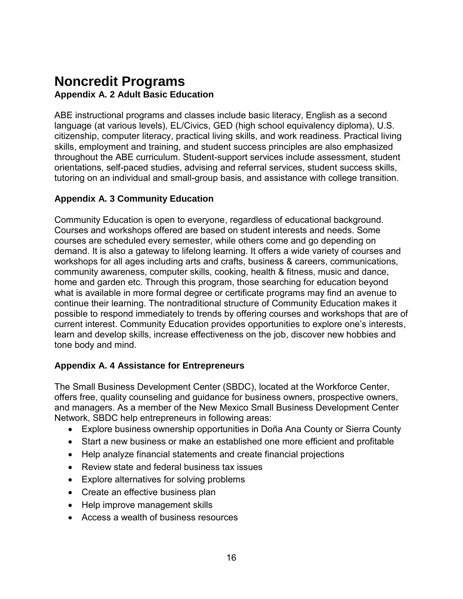### <span id="page-23-0"></span>**Noncredit Programs Appendix A. 2 Adult Basic Education**

ABE instructional programs and classes include basic literacy, English as a second language (at various levels), EL/Civics, GED (high school equivalency diploma), U.S. citizenship, computer literacy, practical living skills, and work readiness. Practical living skills, employment and training, and student success principles are also emphasized throughout the ABE curriculum. Student-support services include assessment, student orientations, self-paced studies, advising and referral services, student success skills, tutoring on an individual and small-group basis, and assistance with college transition.

#### <span id="page-23-1"></span>**Appendix A. 3 Community Education**

Community Education is open to everyone, regardless of educational background. Courses and workshops offered are based on student interests and needs. Some courses are scheduled every semester, while others come and go depending on demand. It is also a gateway to lifelong learning. It offers a wide variety of courses and workshops for all ages including arts and crafts, business & careers, communications, community awareness, computer skills, cooking, health & fitness, music and dance, home and garden etc. Through this program, those searching for education beyond what is available in more formal degree or certificate programs may find an avenue to continue their learning. The nontraditional structure of Community Education makes it possible to respond immediately to trends by offering courses and workshops that are of current interest. Community Education provides opportunities to explore one's interests, learn and develop skills, increase effectiveness on the job, discover new hobbies and tone body and mind.

#### <span id="page-23-2"></span>**Appendix A. 4 Assistance for Entrepreneurs**

The Small Business Development Center (SBDC), located at the Workforce Center, offers free, quality counseling and guidance for business owners, prospective owners, and managers. As a member of the New Mexico Small Business Development Center Network, SBDC help entrepreneurs in following areas:

- Explore business ownership opportunities in Doña Ana County or Sierra County
- Start a new business or make an established one more efficient and profitable
- Help analyze financial statements and create financial projections
- Review state and federal business tax issues
- Explore alternatives for solving problems
- Create an effective business plan
- Help improve management skills
- Access a wealth of business resources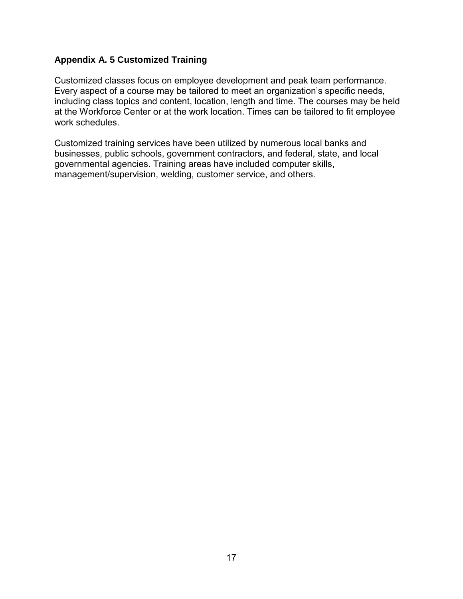#### <span id="page-24-0"></span>**Appendix A. 5 Customized Training**

Customized classes focus on employee development and peak team performance. Every aspect of a course may be tailored to meet an organization's specific needs, including class topics and content, location, length and time. The courses may be held at the Workforce Center or at the work location. Times can be tailored to fit employee work schedules.

Customized training services have been utilized by numerous local banks and businesses, public schools, government contractors, and federal, state, and local governmental agencies. Training areas have included computer skills, management/supervision, welding, customer service, and others.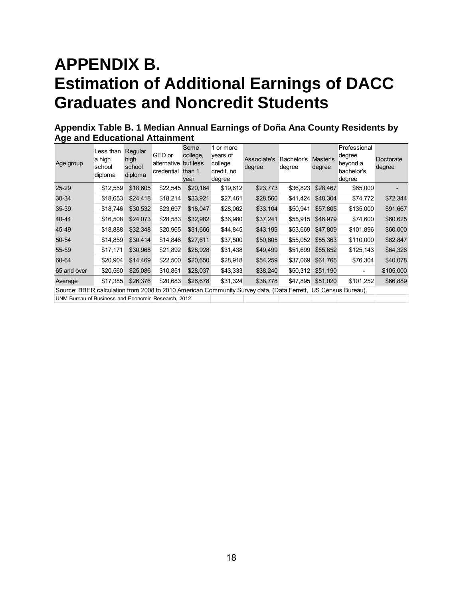## **APPENDIX B. Estimation of Additional Earnings of DACC Graduates and Noncredit Students**

<span id="page-25-0"></span>**Appendix Table B. 1 Median Annual Earnings of Doña Ana County Residents by Age and Educational Attainment** 

| Age group                                                                                                    | Less than<br>a high<br>school<br>diploma | Regular<br>high<br>school<br>diploma | GED or<br>alternative but less<br>credential | Some<br>college,<br>than 1<br>vear | 1 or more<br>years of<br>college<br>credit, no<br>degree | Associate's<br>degree | Bachelor's<br>degree | Master's<br>degree | Professional<br>degree<br>beyond a<br>bachelor's<br>degree | Doctorate<br>degree |
|--------------------------------------------------------------------------------------------------------------|------------------------------------------|--------------------------------------|----------------------------------------------|------------------------------------|----------------------------------------------------------|-----------------------|----------------------|--------------------|------------------------------------------------------------|---------------------|
| 25-29                                                                                                        | \$12,559                                 | \$18,605                             | \$22,545                                     | \$20,164                           | \$19,612                                                 | \$23,773              | \$36,823             | \$28,467           | \$65,000                                                   |                     |
| $30 - 34$                                                                                                    | \$18,653                                 | \$24,418                             | \$18,214                                     | \$33,921                           | \$27,461                                                 | \$28,560              | \$41,424             | \$48,304           | \$74,772                                                   | \$72,344            |
| 35-39                                                                                                        | \$18,746                                 | \$30,532                             | \$23,697                                     | \$18,047                           | \$28,062                                                 | \$33,104              | \$50,941             | \$57,805           | \$135,000                                                  | \$91,667            |
| 40-44                                                                                                        | \$16,508                                 | \$24,073                             | \$28,583                                     | \$32,982                           | \$36,980                                                 | \$37,241              | \$55,915             | \$46,979           | \$74,600                                                   | \$60,625            |
| 45-49                                                                                                        | \$18,888                                 | \$32,348                             | \$20,965                                     | \$31,666                           | \$44,845                                                 | \$43,199              | \$53,669             | \$47,809           | \$101,896                                                  | \$60,000            |
| 50-54                                                                                                        | \$14,859                                 | \$30,414                             | \$14,846                                     | \$27,611                           | \$37,500                                                 | \$50,805              | \$55,052             | \$55,363           | \$110,000                                                  | \$82,847            |
| 55-59                                                                                                        | \$17,171                                 | \$30,968                             | \$21,892                                     | \$28,928                           | \$31,438                                                 | \$49,499              | \$51,699             | \$55,852           | \$125,143                                                  | \$64,326            |
| 60-64                                                                                                        | \$20,904                                 | \$14,469                             | \$22,500                                     | \$20,650                           | \$28,918                                                 | \$54,259              | \$37,069             | \$61,765           | \$76,304                                                   | \$40,078            |
| 65 and over                                                                                                  | \$20,560                                 | \$25,086                             | \$10,851                                     | \$28,037                           | \$43,333                                                 | \$38,240              | \$50,312             | \$51,190           | $\overline{\phantom{a}}$                                   | \$105,000           |
| Average                                                                                                      | \$17,385                                 | \$26,376                             | \$20,683                                     | \$26,678                           | \$31,324                                                 | \$38,778              | \$47,895             | \$51,020           | \$101,252                                                  | \$66,889            |
| Source: BBER calculation from 2008 to 2010 American Community Survey data, (Data Ferrett, US Census Bureau). |                                          |                                      |                                              |                                    |                                                          |                       |                      |                    |                                                            |                     |
| UNM Bureau of Business and Economic Research, 2012                                                           |                                          |                                      |                                              |                                    |                                                          |                       |                      |                    |                                                            |                     |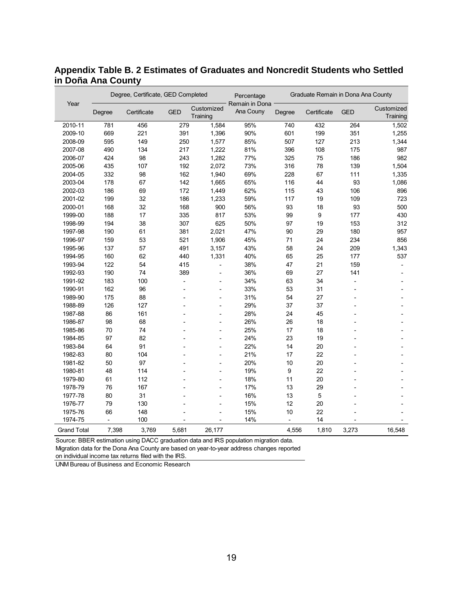<span id="page-26-0"></span>

| Appendix Table B. 2 Estimates of Graduates and Noncredit Students who Settled |  |  |  |
|-------------------------------------------------------------------------------|--|--|--|
| in Doña Ana County                                                            |  |  |  |

|                    |                | Degree, Certificate, GED Completed |                          |                          | Percentage<br>Remain in Dona | Graduate Remain in Dona Ana County |             |                          |                        |  |
|--------------------|----------------|------------------------------------|--------------------------|--------------------------|------------------------------|------------------------------------|-------------|--------------------------|------------------------|--|
| Year               | Degree         | Certificate                        | <b>GED</b>               | Customized<br>Training   | Ana Couny                    | Degree                             | Certificate | <b>GED</b>               | Customized<br>Training |  |
| 2010-11            | 781            | 456                                | 279                      | 1,584                    | 95%                          | 740                                | 432         | 264                      | 1,502                  |  |
| 2009-10            | 669            | 221                                | 391                      | 1,396                    | 90%                          | 601                                | 199         | 351                      | 1,255                  |  |
| 2008-09            | 595            | 149                                | 250                      | 1,577                    | 85%                          | 507                                | 127         | 213                      | 1,344                  |  |
| 2007-08            | 490            | 134                                | 217                      | 1,222                    | 81%                          | 396                                | 108         | 175                      | 987                    |  |
| 2006-07            | 424            | 98                                 | 243                      | 1,282                    | 77%                          | 325                                | 75          | 186                      | 982                    |  |
| 2005-06            | 435            | 107                                | 192                      | 2,072                    | 73%                          | 316                                | 78          | 139                      | 1,504                  |  |
| 2004-05            | 332            | 98                                 | 162                      | 1,940                    | 69%                          | 228                                | 67          | 111                      | 1,335                  |  |
| 2003-04            | 178            | 67                                 | 142                      | 1,665                    | 65%                          | 116                                | 44          | 93                       | 1,086                  |  |
| 2002-03            | 186            | 69                                 | 172                      | 1,449                    | 62%                          | 115                                | 43          | 106                      | 896                    |  |
| 2001-02            | 199            | 32                                 | 186                      | 1,233                    | 59%                          | 117                                | 19          | 109                      | 723                    |  |
| 2000-01            | 168            | 32                                 | 168                      | 900                      | 56%                          | 93                                 | 18          | 93                       | 500                    |  |
| 1999-00            | 188            | 17                                 | 335                      | 817                      | 53%                          | 99                                 | 9           | 177                      | 430                    |  |
| 1998-99            | 194            | 38                                 | 307                      | 625                      | 50%                          | 97                                 | 19          | 153                      | 312                    |  |
| 1997-98            | 190            | 61                                 | 381                      | 2,021                    | 47%                          | 90                                 | 29          | 180                      | 957                    |  |
| 1996-97            | 159            | 53                                 | 521                      | 1,906                    | 45%                          | 71                                 | 24          | 234                      | 856                    |  |
| 1995-96            | 137            | 57                                 | 491                      | 3,157                    | 43%                          | 58                                 | 24          | 209                      | 1,343                  |  |
| 1994-95            | 160            | 62                                 | 440                      | 1,331                    | 40%                          | 65                                 | 25          | 177                      | 537                    |  |
| 1993-94            | 122            | 54                                 | 415                      | $\overline{\phantom{0}}$ | 38%                          | 47                                 | 21          | 159                      | $\blacksquare$         |  |
| 1992-93            | 190            | 74                                 | 389                      | $\overline{a}$           | 36%                          | 69                                 | 27          | 141                      |                        |  |
| 1991-92            | 183            | 100                                | $\overline{\phantom{a}}$ | $\overline{a}$           | 34%                          | 63                                 | 34          | $\overline{\phantom{a}}$ |                        |  |
| 1990-91            | 162            | 96                                 | $\overline{a}$           | $\overline{a}$           | 33%                          | 53                                 | 31          |                          |                        |  |
| 1989-90            | 175            | 88                                 |                          | $\overline{a}$           | 31%                          | 54                                 | 27          |                          |                        |  |
| 1988-89            | 126            | 127                                | $\overline{a}$           | $\overline{a}$           | 29%                          | 37                                 | 37          |                          |                        |  |
| 1987-88            | 86             | 161                                |                          | $\overline{a}$           | 28%                          | 24                                 | 45          |                          |                        |  |
| 1986-87            | 98             | 68                                 |                          | $\overline{a}$           | 26%                          | 26                                 | 18          |                          |                        |  |
| 1985-86            | 70             | 74                                 |                          | $\overline{a}$           | 25%                          | 17                                 | 18          |                          |                        |  |
| 1984-85            | 97             | 82                                 |                          | $\overline{a}$           | 24%                          | 23                                 | 19          |                          |                        |  |
| 1983-84            | 64             | 91                                 |                          | $\overline{a}$           | 22%                          | 14                                 | 20          |                          |                        |  |
| 1982-83            | 80             | 104                                |                          | $\overline{a}$           | 21%                          | 17                                 | 22          |                          |                        |  |
| 1981-82            | 50             | 97                                 | $\overline{a}$           | $\overline{a}$           | 20%                          | 10                                 | 20          |                          |                        |  |
| 1980-81            | 48             | 114                                |                          | $\overline{a}$           | 19%                          | $\boldsymbol{9}$                   | 22          |                          |                        |  |
| 1979-80            | 61             | 112                                |                          | $\overline{a}$           | 18%                          | 11                                 | 20          |                          |                        |  |
| 1978-79            | 76             | 167                                | $\overline{a}$           | $\overline{a}$           | 17%                          | 13                                 | 29          |                          |                        |  |
| 1977-78            | 80             | 31                                 |                          | $\overline{a}$           | 16%                          | 13                                 | 5           |                          |                        |  |
| 1976-77            | 79             | 130                                |                          | $\overline{a}$           | 15%                          | 12                                 | 20          |                          |                        |  |
| 1975-76            | 66             | 148                                |                          | $\overline{a}$           | 15%                          | 10                                 | 22          |                          |                        |  |
| 1974-75            | $\overline{a}$ | 100                                | $\overline{a}$           | $\overline{a}$           | 14%                          | $\overline{a}$                     | 14          |                          |                        |  |
| <b>Grand Total</b> | 7,398          | 3,769                              | 5,681                    | 26.177                   |                              | 4,556                              | 1,810       | 3,273                    | 16,548                 |  |

Migration data for the Dona Ana County are based on year-to-year address changes reported on individual income tax returns filed with the IRS.

UNM Bureau of Business and Economic Research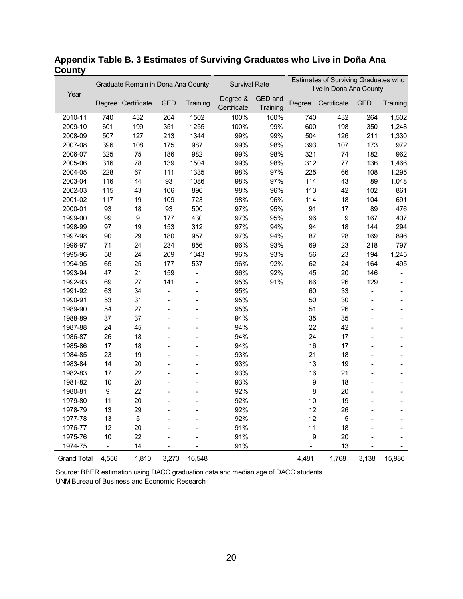| County             |                                    |                    |            |                          |                         |                                                                 |                          |             |                |                |
|--------------------|------------------------------------|--------------------|------------|--------------------------|-------------------------|-----------------------------------------------------------------|--------------------------|-------------|----------------|----------------|
|                    | Graduate Remain in Dona Ana County |                    |            | <b>Survival Rate</b>     |                         | Estimates of Surviving Graduates who<br>live in Dona Ana County |                          |             |                |                |
| Year               |                                    | Degree Certificate | <b>GED</b> | Training                 | Degree &<br>Certificate | GED and<br>Training                                             | Degree                   | Certificate | <b>GED</b>     | Training       |
| 2010-11            | 740                                | 432                | 264        | 1502                     | 100%                    | 100%                                                            | 740                      | 432         | 264            | 1,502          |
| 2009-10            | 601                                | 199                | 351        | 1255                     | 100%                    | 99%                                                             | 600                      | 198         | 350            | 1,248          |
| 2008-09            | 507                                | 127                | 213        | 1344                     | 99%                     | 99%                                                             | 504                      | 126         | 211            | 1,330          |
| 2007-08            | 396                                | 108                | 175        | 987                      | 99%                     | 98%                                                             | 393                      | 107         | 173            | 972            |
| 2006-07            | 325                                | 75                 | 186        | 982                      | 99%                     | 98%                                                             | 321                      | 74          | 182            | 962            |
| 2005-06            | 316                                | 78                 | 139        | 1504                     | 99%                     | 98%                                                             | 312                      | 77          | 136            | 1,466          |
| 2004-05            | 228                                | 67                 | 111        | 1335                     | 98%                     | 97%                                                             | 225                      | 66          | 108            | 1,295          |
| 2003-04            | 116                                | 44                 | 93         | 1086                     | 98%                     | 97%                                                             | 114                      | 43          | 89             | 1,048          |
| 2002-03            | 115                                | 43                 | 106        | 896                      | 98%                     | 96%                                                             | 113                      | 42          | 102            | 861            |
| 2001-02            | 117                                | 19                 | 109        | 723                      | 98%                     | 96%                                                             | 114                      | 18          | 104            | 691            |
| 2000-01            | 93                                 | 18                 | 93         | 500                      | 97%                     | 95%                                                             | 91                       | 17          | 89             | 476            |
| 1999-00            | 99                                 | 9                  | 177        | 430                      | 97%                     | 95%                                                             | 96                       | 9           | 167            | 407            |
| 1998-99            | 97                                 | 19                 | 153        | 312                      | 97%                     | 94%                                                             | 94                       | 18          | 144            | 294            |
| 1997-98            | 90                                 | 29                 | 180        | 957                      | 97%                     | 94%                                                             | 87                       | 28          | 169            | 896            |
| 1996-97            | 71                                 | 24                 | 234        | 856                      | 96%                     | 93%                                                             | 69                       | 23          | 218            | 797            |
| 1995-96            | 58                                 | 24                 | 209        | 1343                     | 96%                     | 93%                                                             | 56                       | 23          | 194            | 1,245          |
| 1994-95            | 65                                 | 25                 | 177        | 537                      | 96%                     | 92%                                                             | 62                       | 24          | 164            | 495            |
| 1993-94            | 47                                 | 21                 | 159        | $\overline{\phantom{a}}$ | 96%                     | 92%                                                             | 45                       | 20          | 146            | $\blacksquare$ |
| 1992-93            | 69                                 | 27                 | 141        | ÷,                       | 95%                     | 91%                                                             | 66                       | 26          | 129            |                |
| 1991-92            | 63                                 | 34                 |            |                          | 95%                     |                                                                 | 60                       | 33          | $\overline{a}$ |                |
| 1990-91            | 53                                 | 31                 |            |                          | 95%                     |                                                                 | 50                       | 30          |                |                |
| 1989-90            | 54                                 | 27                 |            |                          | 95%                     |                                                                 | 51                       | 26          |                |                |
| 1988-89            | 37                                 | 37                 |            |                          | 94%                     |                                                                 | 35                       | 35          |                |                |
| 1987-88            | 24                                 | 45                 |            |                          | 94%                     |                                                                 | 22                       | 42          |                |                |
| 1986-87            | 26                                 | 18                 |            |                          | 94%                     |                                                                 | 24                       | 17          |                |                |
| 1985-86            | 17                                 | 18                 |            |                          | 94%                     |                                                                 | 16                       | 17          |                |                |
| 1984-85            | 23                                 | 19                 |            |                          | 93%                     |                                                                 | 21                       | 18          |                |                |
| 1983-84            | 14                                 | 20                 |            |                          | 93%                     |                                                                 | 13                       | 19          |                |                |
| 1982-83            | 17                                 | 22                 |            |                          | 93%                     |                                                                 | 16                       | 21          |                |                |
| 1981-82            | $10$                               | 20                 |            |                          | 93%                     |                                                                 | 9                        | 18          |                |                |
| 1980-81            | 9                                  | 22                 |            |                          | 92%                     |                                                                 | 8                        | 20          |                |                |
| 1979-80            | 11                                 | 20                 |            |                          | 92%                     |                                                                 | 10                       | 19          |                |                |
| 1978-79            | 13                                 | 29                 |            |                          | 92%                     |                                                                 | 12                       | 26          |                |                |
| 1977-78            | 13                                 | 5                  |            |                          | 92%                     |                                                                 | 12                       | 5           |                |                |
| 1976-77            | 12                                 | 20                 |            |                          | 91%                     |                                                                 | 11                       | 18          |                |                |
| 1975-76            | 10                                 | 22                 |            |                          | 91%                     |                                                                 | 9                        | 20          |                |                |
| 1974-75            | $\overline{\phantom{a}}$           | 14                 |            |                          | 91%                     |                                                                 | $\overline{\phantom{0}}$ | 13          |                |                |
| <b>Grand Total</b> | 4,556                              | 1,810              | 3,273      | 16,548                   |                         |                                                                 | 4,481                    | 1,768       | 3,138          | 15,986         |

#### <span id="page-27-0"></span>**Appendix Table B. 3 Estimates of Surviving Graduates who Live in Doña Ana County**

UNM Bureau of Business and Economic Research Source: BBER estimation using DACC graduation data and median age of DACC students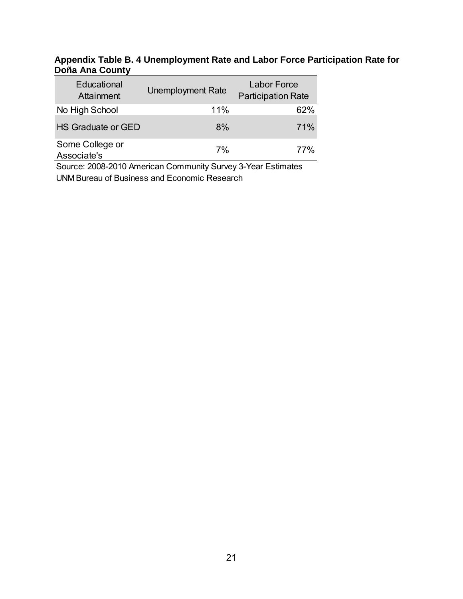#### <span id="page-28-0"></span>**Appendix Table B. 4 Unemployment Rate and Labor Force Participation Rate for Doña Ana County**

| Educational<br>Attainment      | <b>Unemployment Rate</b> | <b>Labor Force</b><br><b>Participation Rate</b> |
|--------------------------------|--------------------------|-------------------------------------------------|
| No High School                 | 11%                      | 62%                                             |
| <b>HS Graduate or GED</b>      | 8%                       | 71%                                             |
| Some College or<br>Associate's | 7%                       | 77%                                             |

Source: 2008-2010 American Community Survey 3-Year Estimates UNM Bureau of Business and Economic Research